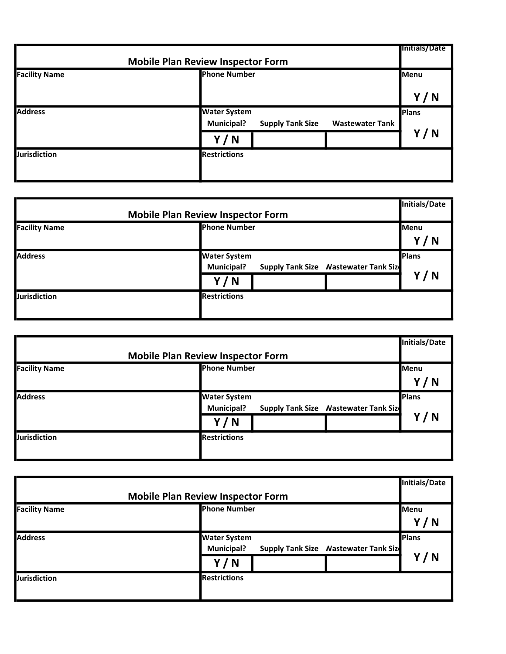| <b>Mobile Plan Review Inspector Form</b> |                                                                                               | <b>Initials/Date</b> |
|------------------------------------------|-----------------------------------------------------------------------------------------------|----------------------|
| <b>Facility Name</b>                     | <b>Phone Number</b>                                                                           | Menu                 |
|                                          |                                                                                               | Y/N                  |
| <b>Address</b>                           | <b>Water System</b><br><b>Municipal?</b><br><b>Wastewater Tank</b><br><b>Supply Tank Size</b> | Plans                |
|                                          | Y/N                                                                                           | Y/N                  |
| <b>Jurisdiction</b>                      | <b>Restrictions</b>                                                                           |                      |

| <b>Mobile Plan Review Inspector Form</b> |                                                                                           | Initials/Date       |
|------------------------------------------|-------------------------------------------------------------------------------------------|---------------------|
| <b>Facility Name</b>                     | <b>Phone Number</b>                                                                       | Menu<br>Y/N         |
| <b>Address</b>                           | <b>Water System</b><br>Supply Tank Size  Nastewater Tank Size<br><b>Municipal?</b><br>Y/N | <b>Plans</b><br>Y/N |
| <b>Jurisdiction</b>                      | <b>Restrictions</b>                                                                       |                     |

|                                          |                                                                     | Initials/Date |
|------------------------------------------|---------------------------------------------------------------------|---------------|
| <b>Mobile Plan Review Inspector Form</b> |                                                                     |               |
| <b>Facility Name</b>                     | <b>Phone Number</b>                                                 | <b>Menu</b>   |
|                                          |                                                                     | Y/N           |
| <b>Address</b>                           | <b>Water System</b>                                                 | Plans         |
|                                          | <b>Municipal?</b><br><b>Supply Tank Size   Nastewater Tank Size</b> |               |
|                                          | Y/N                                                                 | Y/N           |
| <b>Jurisdiction</b>                      | <b>Restrictions</b>                                                 |               |
|                                          |                                                                     |               |

|                                          |                                                             | <b>Initials/Date</b> |
|------------------------------------------|-------------------------------------------------------------|----------------------|
| <b>Mobile Plan Review Inspector Form</b> |                                                             |                      |
| <b>Facility Name</b>                     | <b>Phone Number</b>                                         | <b>Menu</b>          |
|                                          |                                                             | Y/N                  |
| <b>Address</b>                           | <b>Water System</b>                                         | <b>Plans</b>         |
|                                          | Supply Tank Size  Nastewater Tank Size<br><b>Municipal?</b> |                      |
|                                          | Y/N                                                         | Y/N                  |
| <b>Jurisdiction</b>                      | <b>Restrictions</b>                                         |                      |
|                                          |                                                             |                      |